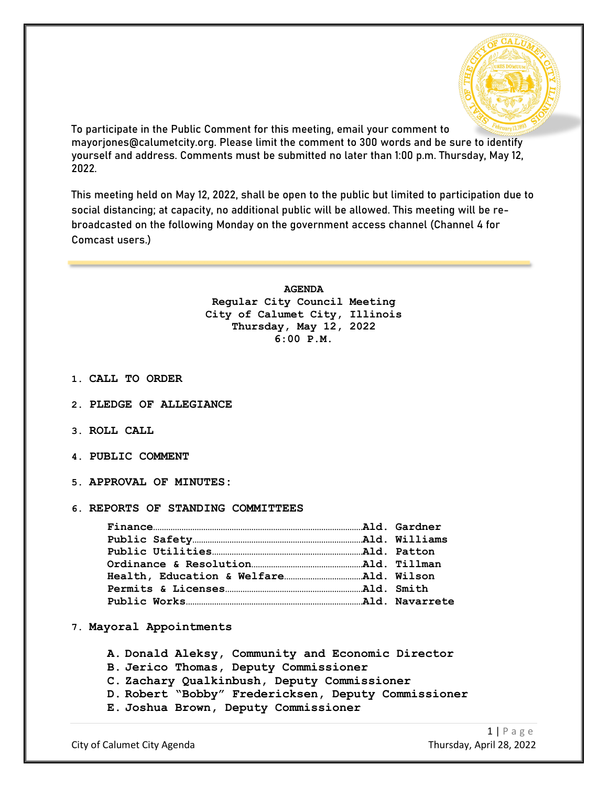

To participate in the Public Comment for this meeting, email your comment to mayorjones@calumetcity.org. Please limit the comment to 300 words and be sure to identify yourself and address. Comments must be submitted no later than 1:00 p.m. Thursday, May 12, 2022.

This meeting held on May 12, 2022, shall be open to the public but limited to participation due to social distancing; at capacity, no additional public will be allowed. This meeting will be rebroadcasted on the following Monday on the government access channel (Channel 4 for Comcast users.)

> **AGENDA Regular City Council Meeting City of Calumet City, Illinois Thursday, May 12, 2022 6:00 P.M.**

- **1. CALL TO ORDER**
- **2. PLEDGE OF ALLEGIANCE**
- **3. ROLL CALL**
- **4. PUBLIC COMMENT**
- **5. APPROVAL OF MINUTES:**
- **6. REPORTS OF STANDING COMMITTEES**

- **7. Mayoral Appointments**
	- **A. Donald Aleksy, Community and Economic Director**
	- **B. Jerico Thomas, Deputy Commissioner**
	- **C. Zachary Qualkinbush, Deputy Commissioner**
	- **D. Robert "Bobby" Fredericksen, Deputy Commissioner**
	- **E. Joshua Brown, Deputy Commissioner**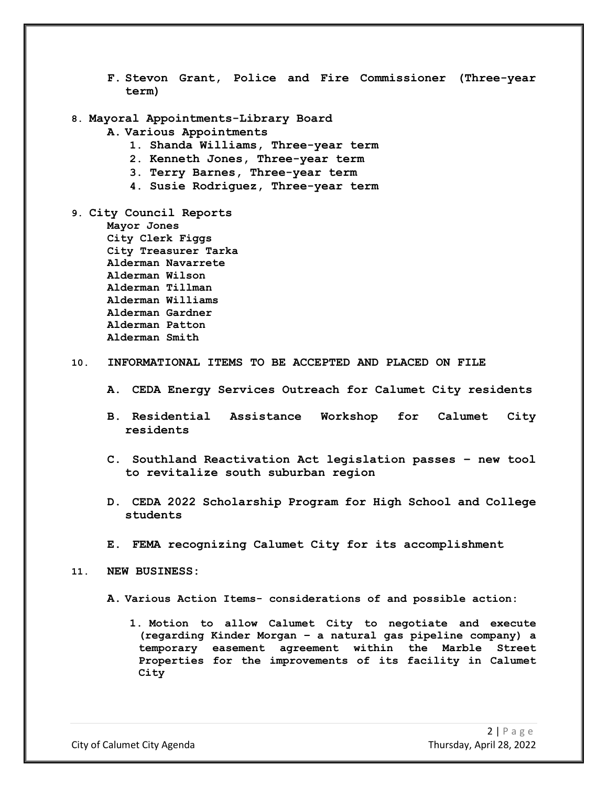- **F. Stevon Grant, Police and Fire Commissioner (Three-year term)**
- **8. Mayoral Appointments-Library Board**
	- **A. Various Appointments**
		- **1. Shanda Williams, Three-year term**
		- **2. Kenneth Jones, Three-year term**
		- **3. Terry Barnes, Three-year term**
		- **4. Susie Rodriguez, Three-year term**
- **9. City Council Reports Mayor Jones City Clerk Figgs City Treasurer Tarka Alderman Navarrete Alderman Wilson Alderman Tillman Alderman Williams Alderman Gardner Alderman Patton Alderman Smith**

#### **10. INFORMATIONAL ITEMS TO BE ACCEPTED AND PLACED ON FILE**

- **A. CEDA Energy Services Outreach for Calumet City residents**
- **B. Residential Assistance Workshop for Calumet City residents**
- **C. Southland Reactivation Act legislation passes – new tool to revitalize south suburban region**
- **D. CEDA 2022 Scholarship Program for High School and College students**
- **E. FEMA recognizing Calumet City for its accomplishment**

#### **11. NEW BUSINESS:**

- **A. Various Action Items- considerations of and possible action:**
	- **1. Motion to allow Calumet City to negotiate and execute (regarding Kinder Morgan – a natural gas pipeline company) a temporary easement agreement within the Marble Street Properties for the improvements of its facility in Calumet City**

City of Calumet City Agenda Thursday, April 28, 2022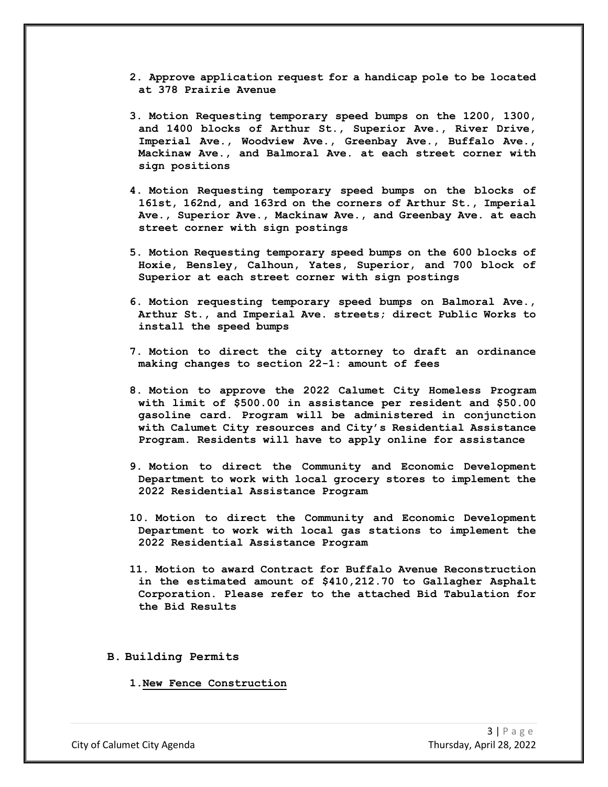- **2. Approve application request for a handicap pole to be located at 378 Prairie Avenue**
- **3. Motion Requesting temporary speed bumps on the 1200, 1300, and 1400 blocks of Arthur St., Superior Ave., River Drive, Imperial Ave., Woodview Ave., Greenbay Ave., Buffalo Ave., Mackinaw Ave., and Balmoral Ave. at each street corner with sign positions**
- **4. Motion Requesting temporary speed bumps on the blocks of 161st, 162nd, and 163rd on the corners of Arthur St., Imperial Ave., Superior Ave., Mackinaw Ave., and Greenbay Ave. at each street corner with sign postings**
- **5. Motion Requesting temporary speed bumps on the 600 blocks of Hoxie, Bensley, Calhoun, Yates, Superior, and 700 block of Superior at each street corner with sign postings**
- **6. Motion requesting temporary speed bumps on Balmoral Ave., Arthur St., and Imperial Ave. streets; direct Public Works to install the speed bumps**
- **7. Motion to direct the city attorney to draft an ordinance making changes to section 22-1: amount of fees**
- **8. Motion to approve the 2022 Calumet City Homeless Program with limit of \$500.00 in assistance per resident and \$50.00 gasoline card. Program will be administered in conjunction with Calumet City resources and City's Residential Assistance Program. Residents will have to apply online for assistance**
- **9. Motion to direct the Community and Economic Development Department to work with local grocery stores to implement the 2022 Residential Assistance Program**
- **10. Motion to direct the Community and Economic Development Department to work with local gas stations to implement the 2022 Residential Assistance Program**
- **11. Motion to award Contract for Buffalo Avenue Reconstruction in the estimated amount of \$410,212.70 to Gallagher Asphalt Corporation. Please refer to the attached Bid Tabulation for the Bid Results**

**B. Building Permits**

**1.New Fence Construction**

City of Calumet City Agenda Thursday, April 28, 2022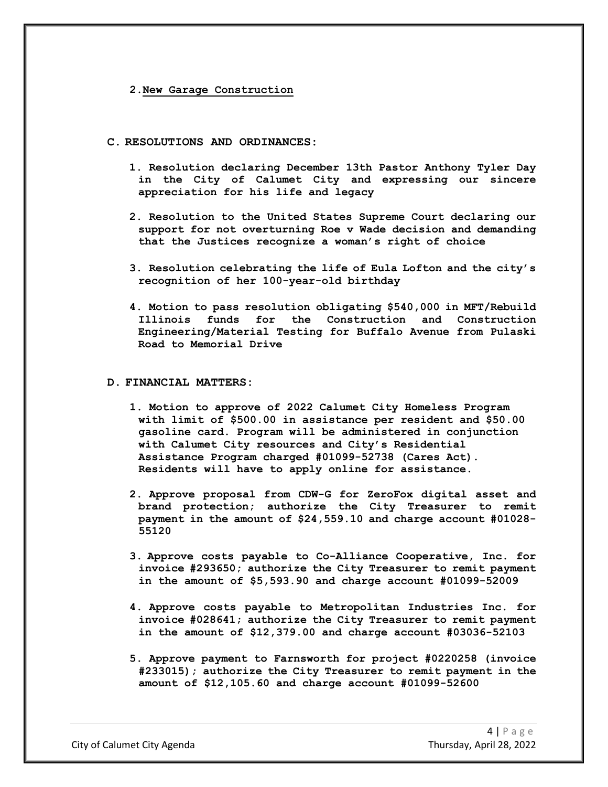### **2.New Garage Construction**

### **C. RESOLUTIONS AND ORDINANCES:**

- **1. Resolution declaring December 13th Pastor Anthony Tyler Day in the City of Calumet City and expressing our sincere appreciation for his life and legacy**
- **2. Resolution to the United States Supreme Court declaring our support for not overturning Roe v Wade decision and demanding that the Justices recognize a woman's right of choice**
- **3. Resolution celebrating the life of Eula Lofton and the city's recognition of her 100-year-old birthday**
- **4. Motion to pass resolution obligating \$540,000 in MFT/Rebuild Illinois funds for the Construction and Construction Engineering/Material Testing for Buffalo Avenue from Pulaski Road to Memorial Drive**

## **D. FINANCIAL MATTERS:**

- **1. Motion to approve of 2022 Calumet City Homeless Program with limit of \$500.00 in assistance per resident and \$50.00 gasoline card. Program will be administered in conjunction with Calumet City resources and City's Residential Assistance Program charged #01099-52738 (Cares Act). Residents will have to apply online for assistance.**
- **2. Approve proposal from CDW-G for ZeroFox digital asset and brand protection; authorize the City Treasurer to remit payment in the amount of \$24,559.10 and charge account #01028- 55120**
- **3. Approve costs payable to Co-Alliance Cooperative, Inc. for invoice #293650; authorize the City Treasurer to remit payment in the amount of \$5,593.90 and charge account #01099-52009**
- **4. Approve costs payable to Metropolitan Industries Inc. for invoice #028641; authorize the City Treasurer to remit payment in the amount of \$12,379.00 and charge account #03036-52103**
- **5. Approve payment to Farnsworth for project #0220258 (invoice #233015); authorize the City Treasurer to remit payment in the amount of \$12,105.60 and charge account #01099-52600**

City of Calumet City Agenda Thursday, April 28, 2022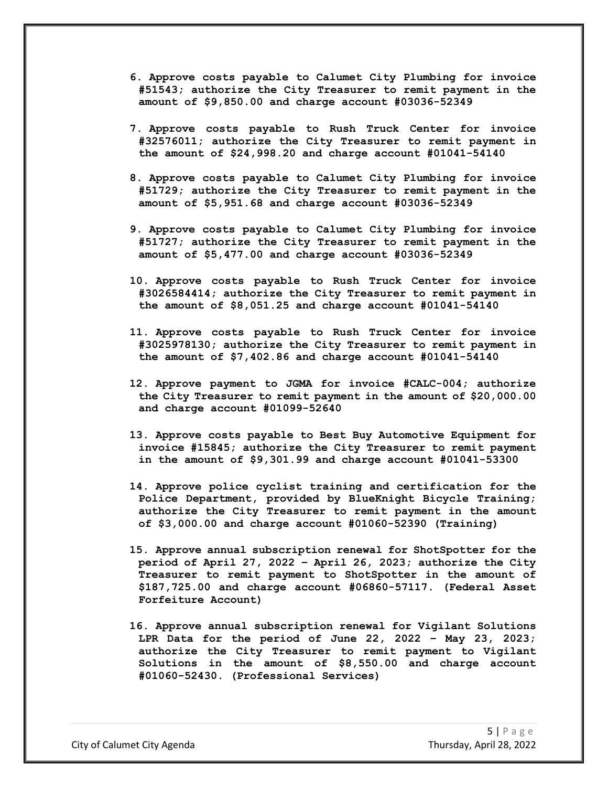- **6. Approve costs payable to Calumet City Plumbing for invoice #51543; authorize the City Treasurer to remit payment in the amount of \$9,850.00 and charge account #03036-52349**
- **7. Approve costs payable to Rush Truck Center for invoice #32576011; authorize the City Treasurer to remit payment in the amount of \$24,998.20 and charge account #01041-54140**
- **8. Approve costs payable to Calumet City Plumbing for invoice #51729; authorize the City Treasurer to remit payment in the amount of \$5,951.68 and charge account #03036-52349**
- **9. Approve costs payable to Calumet City Plumbing for invoice #51727; authorize the City Treasurer to remit payment in the amount of \$5,477.00 and charge account #03036-52349**
- **10. Approve costs payable to Rush Truck Center for invoice #3026584414; authorize the City Treasurer to remit payment in the amount of \$8,051.25 and charge account #01041-54140**
- **11. Approve costs payable to Rush Truck Center for invoice #3025978130; authorize the City Treasurer to remit payment in the amount of \$7,402.86 and charge account #01041-54140**
- **12. Approve payment to JGMA for invoice #CALC-004; authorize the City Treasurer to remit payment in the amount of \$20,000.00 and charge account #01099-52640**
- **13. Approve costs payable to Best Buy Automotive Equipment for invoice #15845; authorize the City Treasurer to remit payment in the amount of \$9,301.99 and charge account #01041-53300**
- **14. Approve police cyclist training and certification for the Police Department, provided by BlueKnight Bicycle Training; authorize the City Treasurer to remit payment in the amount of \$3,000.00 and charge account #01060-52390 (Training)**
- **15. Approve annual subscription renewal for ShotSpotter for the period of April 27, 2022 – April 26, 2023; authorize the City Treasurer to remit payment to ShotSpotter in the amount of \$187,725.00 and charge account #06860-57117. (Federal Asset Forfeiture Account)**
- **16. Approve annual subscription renewal for Vigilant Solutions LPR Data for the period of June 22, 2022 – May 23, 2023; authorize the City Treasurer to remit payment to Vigilant Solutions in the amount of \$8,550.00 and charge account #01060-52430. (Professional Services)**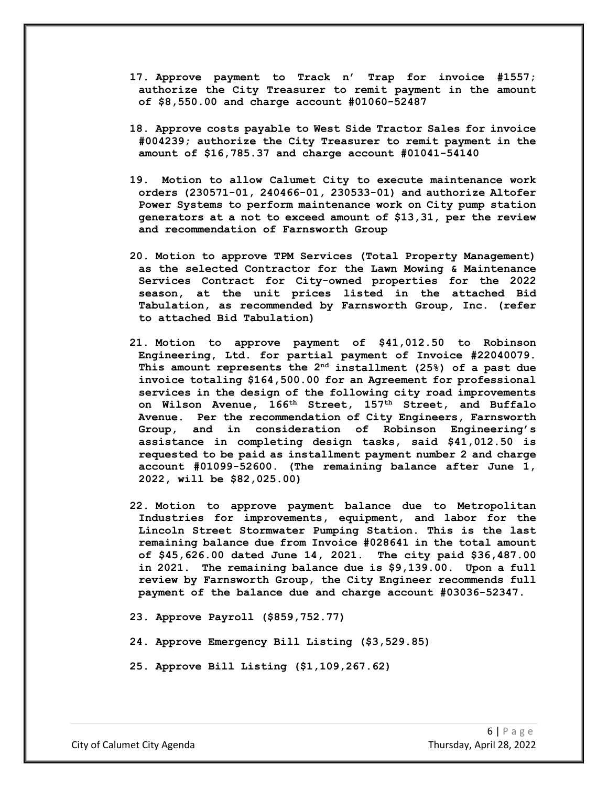- **17. Approve payment to Track n' Trap for invoice #1557; authorize the City Treasurer to remit payment in the amount of \$8,550.00 and charge account #01060-52487**
- **18. Approve costs payable to West Side Tractor Sales for invoice #004239; authorize the City Treasurer to remit payment in the amount of \$16,785.37 and charge account #01041-54140**
- **19. Motion to allow Calumet City to execute maintenance work orders (230571-01, 240466-01, 230533-01) and authorize Altofer Power Systems to perform maintenance work on City pump station generators at a not to exceed amount of \$13,31, per the review and recommendation of Farnsworth Group**
- **20. Motion to approve TPM Services (Total Property Management) as the selected Contractor for the Lawn Mowing & Maintenance Services Contract for City-owned properties for the 2022 season, at the unit prices listed in the attached Bid Tabulation, as recommended by Farnsworth Group, Inc. (refer to attached Bid Tabulation)**
- **21. Motion to approve payment of \$41,012.50 to Robinson Engineering, Ltd. for partial payment of Invoice #22040079. This amount represents the 2nd installment (25%) of a past due invoice totaling \$164,500.00 for an Agreement for professional services in the design of the following city road improvements on Wilson Avenue, 166th Street, 157th Street, and Buffalo Avenue. Per the recommendation of City Engineers, Farnsworth Group, and in consideration of Robinson Engineering's assistance in completing design tasks, said \$41,012.50 is requested to be paid as installment payment number 2 and charge account #01099-52600. (The remaining balance after June 1, 2022, will be \$82,025.00)**
- **22. Motion to approve payment balance due to Metropolitan Industries for improvements, equipment, and labor for the Lincoln Street Stormwater Pumping Station. This is the last remaining balance due from Invoice #028641 in the total amount of \$45,626.00 dated June 14, 2021. The city paid \$36,487.00 in 2021. The remaining balance due is \$9,139.00. Upon a full review by Farnsworth Group, the City Engineer recommends full payment of the balance due and charge account #03036-52347.**
- **23. Approve Payroll (\$859,752.77)**
- **24. Approve Emergency Bill Listing (\$3,529.85)**
- **25. Approve Bill Listing (\$1,109,267.62)**